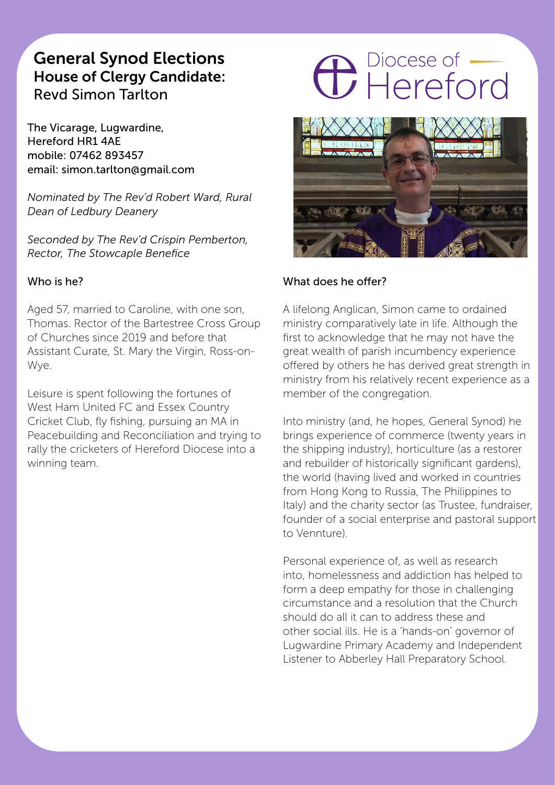## General Synod Elections House of Clergy Candidate: Revd Simon Tarlton

The Vicarage, Lugwardine, Hereford HR1 4AE mobile: 07462 893457 email: simon.tarlton@gmail.com

*Nominated by The Rev'd Robert Ward, Rural Dean of Ledbury Deanery* 

*Seconded by The Rev'd Crispin Pemberton, Rector, The Stowcaple Benefice*

#### Who is he?

Aged 57, married to Caroline, with one son, Thomas. Rector of the Bartestree Cross Group of Churches since 2019 and before that Assistant Curate, St. Mary the Virgin, Ross-on-Wye.

Leisure is spent following the fortunes of West Ham United FC and Essex Country Cricket Club, fly fishing, pursuing an MA in Peacebuilding and Reconciliation and trying to rally the cricketers of Hereford Diocese into a winning team.

## **C** Piocese of



#### What does he offer?

A lifelong Anglican, Simon came to ordained ministry comparatively late in life. Although the first to acknowledge that he may not have the great wealth of parish incumbency experience offered by others he has derived great strength in ministry from his relatively recent experience as a member of the congregation.

Into ministry (and, he hopes, General Synod) he brings experience of commerce (twenty years in the shipping industry), horticulture (as a restorer and rebuilder of historically significant gardens), the world (having lived and worked in countries from Hong Kong to Russia, The Philippines to Italy) and the charity sector (as Trustee, fundraiser, founder of a social enterprise and pastoral support to Vennture).

Personal experience of, as well as research into, homelessness and addiction has helped to form a deep empathy for those in challenging circumstance and a resolution that the Church should do all it can to address these and other social ills. He is a 'hands-on' governor of Lugwardine Primary Academy and Independent Listener to Abberley Hall Preparatory School.